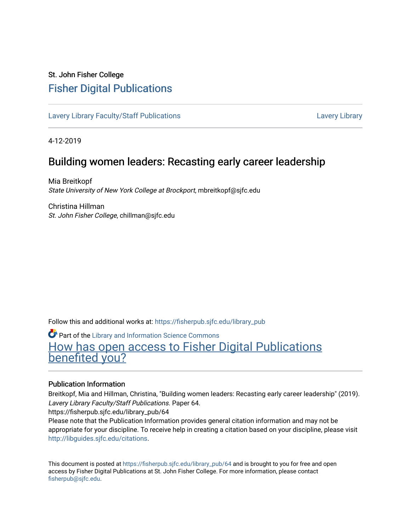## St. John Fisher College [Fisher Digital Publications](https://fisherpub.sjfc.edu/)

[Lavery Library Faculty/Staff Publications](https://fisherpub.sjfc.edu/library_pub) [Lavery Library](https://fisherpub.sjfc.edu/library) Lavery Library

4-12-2019

## Building women leaders: Recasting early career leadership

Mia Breitkopf State University of New York College at Brockport, mbreitkopf@sjfc.edu

Christina Hillman St. John Fisher College, chillman@sjfc.edu

Follow this and additional works at: [https://fisherpub.sjfc.edu/library\\_pub](https://fisherpub.sjfc.edu/library_pub?utm_source=fisherpub.sjfc.edu%2Flibrary_pub%2F64&utm_medium=PDF&utm_campaign=PDFCoverPages)

**Part of the Library and Information Science Commons** [How has open access to Fisher Digital Publications](https://docs.google.com/forms/d/14zrnDfH9d1wcdq8oG_-gFabAsxfcH5claltx85ZWyTg/viewform?entry.1394608989=https://fisherpub.sjfc.edu/library_pub/64%3Chttps://docs.google.com/forms/d/14zrnDfH9d1wcdq8oG_-gFabAsxfcH5claltx85ZWyTg/viewform?entry.1394608989=%7bhttps://fisherpub.sjfc.edu/library_pub/64%7d) [benefited you?](https://docs.google.com/forms/d/14zrnDfH9d1wcdq8oG_-gFabAsxfcH5claltx85ZWyTg/viewform?entry.1394608989=https://fisherpub.sjfc.edu/library_pub/64%3Chttps://docs.google.com/forms/d/14zrnDfH9d1wcdq8oG_-gFabAsxfcH5claltx85ZWyTg/viewform?entry.1394608989=%7bhttps://fisherpub.sjfc.edu/library_pub/64%7d)

#### Publication Information

Breitkopf, Mia and Hillman, Christina, "Building women leaders: Recasting early career leadership" (2019). Lavery Library Faculty/Staff Publications. Paper 64.

https://fisherpub.sjfc.edu/library\_pub/64

Please note that the Publication Information provides general citation information and may not be appropriate for your discipline. To receive help in creating a citation based on your discipline, please visit [http://libguides.sjfc.edu/citations.](http://libguides.sjfc.edu/citations)

This document is posted at [https://fisherpub.sjfc.edu/library\\_pub/64](https://fisherpub.sjfc.edu/library_pub/64) and is brought to you for free and open access by Fisher Digital Publications at St. John Fisher College. For more information, please contact [fisherpub@sjfc.edu](mailto:fisherpub@sjfc.edu).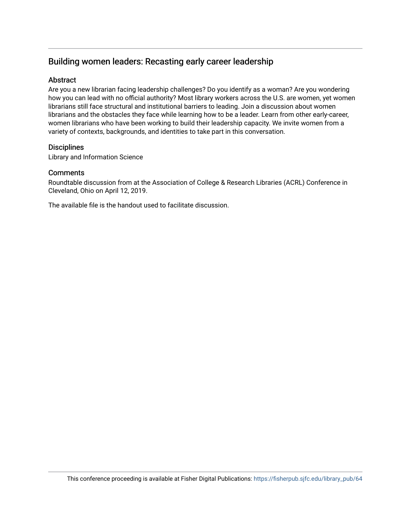### Building women leaders: Recasting early career leadership

#### **Abstract**

Are you a new librarian facing leadership challenges? Do you identify as a woman? Are you wondering how you can lead with no official authority? Most library workers across the U.S. are women, yet women librarians still face structural and institutional barriers to leading. Join a discussion about women librarians and the obstacles they face while learning how to be a leader. Learn from other early-career, women librarians who have been working to build their leadership capacity. We invite women from a variety of contexts, backgrounds, and identities to take part in this conversation.

#### **Disciplines**

Library and Information Science

#### **Comments**

Roundtable discussion from at the Association of College & Research Libraries (ACRL) Conference in Cleveland, Ohio on April 12, 2019.

The available file is the handout used to facilitate discussion.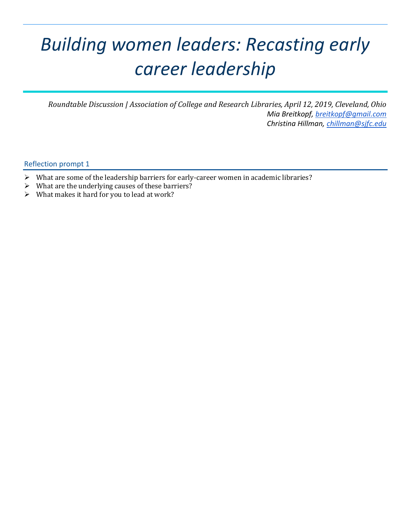# *Building women leaders: Recasting early career leadership*

*Roundtable Discussion | Association of College and Research Libraries, April 12, 2019, Cleveland, Ohio Mia Breitkopf, [breitkopf@gmail.com](mailto:breitkopf@gmail.com) Christina Hillman, [chillman@sjfc.edu](mailto:chillman@sjfc.edu)*

Reflection prompt 1

- What are some of the leadership barriers for early-career women in academic libraries?
- $\triangleright$  What are the underlying causes of these barriers?
- $\triangleright$  What makes it hard for you to lead at work?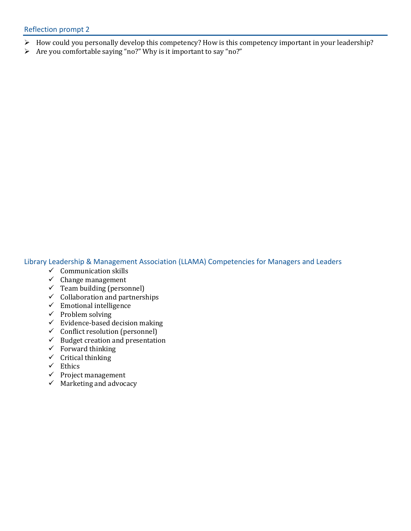- How could you personally develop this competency? How is this competency important in your leadership?
- $\triangleright$  Are you comfortable saying "no?" Why is it important to say "no?"

Library Leadership & Management Association (LLAMA) Competencies for Managers and Leaders

- $\checkmark$  Communication skills
- $\checkmark$  Change management
- $\checkmark$  Team building (personnel)
- $\checkmark$  Collaboration and partnerships
- $\checkmark$  Emotional intelligence
- $\checkmark$  Problem solving
- $\checkmark$  Evidence-based decision making
- $\checkmark$  Conflict resolution (personnel)
- $\checkmark$  Budget creation and presentation
- $\checkmark$  Forward thinking
- $\checkmark$  Critical thinking
- $\checkmark$  Ethics
- $\checkmark$  Project management
- $\checkmark$  Marketing and advocacy